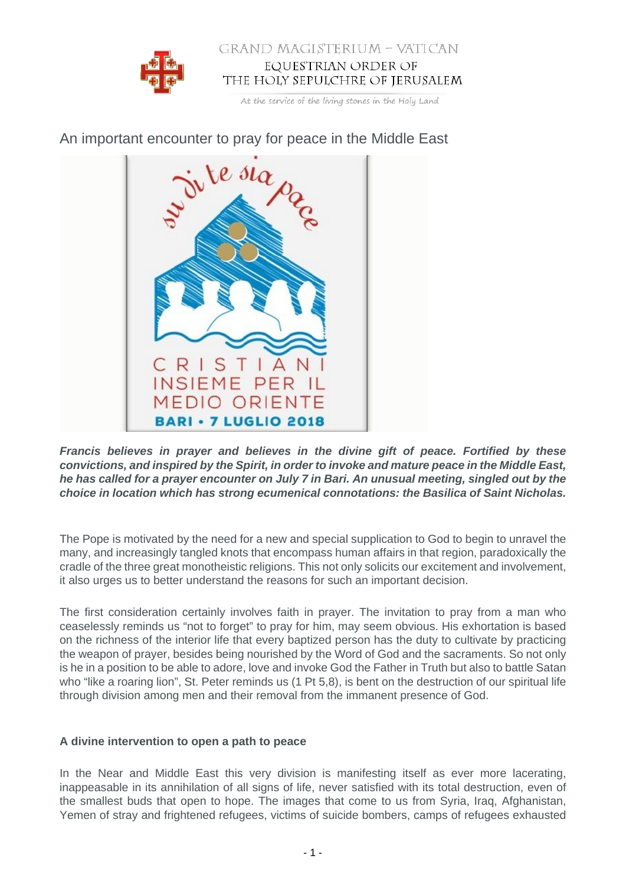

### GRAND MAGISTERIUM - VATICAN EQUESTRIAN ORDER OF THE HOLY SEPULCHRE OF JERUSALEM

At the service of the living stones in the Holy Land



# An important encounter to pray for peace in the Middle East

**Francis believes in prayer and believes in the divine gift of peace. Fortified by these convictions, and inspired by the Spirit, in order to invoke and mature peace in the Middle East, he has called for a prayer encounter on July 7 in Bari. An unusual meeting, singled out by the choice in location which has strong ecumenical connotations: the Basilica of Saint Nicholas.**

The Pope is motivated by the need for a new and special supplication to God to begin to unravel the many, and increasingly tangled knots that encompass human affairs in that region, paradoxically the cradle of the three great monotheistic religions. This not only solicits our excitement and involvement, it also urges us to better understand the reasons for such an important decision.

The first consideration certainly involves faith in prayer. The invitation to pray from a man who ceaselessly reminds us "not to forget" to pray for him, may seem obvious. His exhortation is based on the richness of the interior life that every baptized person has the duty to cultivate by practicing the weapon of prayer, besides being nourished by the Word of God and the sacraments. So not only is he in a position to be able to adore, love and invoke God the Father in Truth but also to battle Satan who "like a roaring lion", St. Peter reminds us (1 Pt 5,8), is bent on the destruction of our spiritual life through division among men and their removal from the immanent presence of God.

## **A divine intervention to open a path to peace**

In the Near and Middle East this very division is manifesting itself as ever more lacerating, inappeasable in its annihilation of all signs of life, never satisfied with its total destruction, even of the smallest buds that open to hope. The images that come to us from Syria, Iraq, Afghanistan, Yemen of stray and frightened refugees, victims of suicide bombers, camps of refugees exhausted